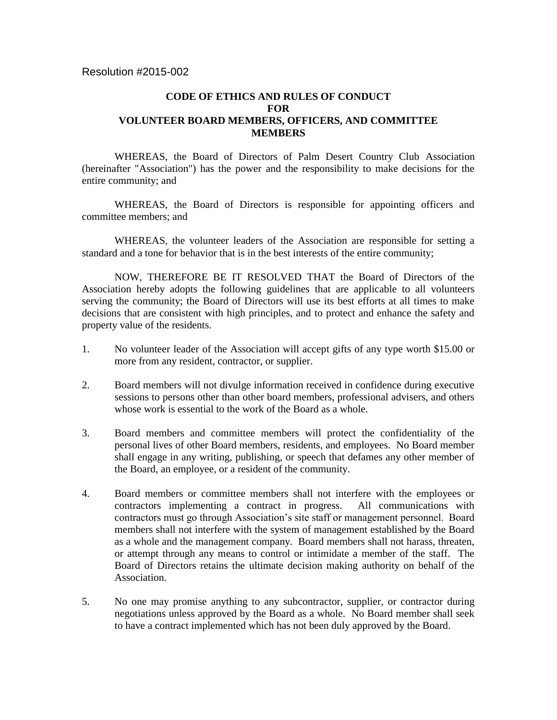## **CODE OF ETHICS AND RULES OF CONDUCT FOR VOLUNTEER BOARD MEMBERS, OFFICERS, AND COMMITTEE MEMBERS**

WHEREAS, the Board of Directors of Palm Desert Country Club Association (hereinafter "Association") has the power and the responsibility to make decisions for the entire community; and

WHEREAS, the Board of Directors is responsible for appointing officers and committee members; and

WHEREAS, the volunteer leaders of the Association are responsible for setting a standard and a tone for behavior that is in the best interests of the entire community;

NOW, THEREFORE BE IT RESOLVED THAT the Board of Directors of the Association hereby adopts the following guidelines that are applicable to all volunteers serving the community; the Board of Directors will use its best efforts at all times to make decisions that are consistent with high principles, and to protect and enhance the safety and property value of the residents.

- 1. No volunteer leader of the Association will accept gifts of any type worth \$15.00 or more from any resident, contractor, or supplier.
- 2. Board members will not divulge information received in confidence during executive sessions to persons other than other board members, professional advisers, and others whose work is essential to the work of the Board as a whole.
- 3. Board members and committee members will protect the confidentiality of the personal lives of other Board members, residents, and employees. No Board member shall engage in any writing, publishing, or speech that defames any other member of the Board, an employee, or a resident of the community.
- 4. Board members or committee members shall not interfere with the employees or contractors implementing a contract in progress. All communications with contractors must go through Association's site staff or management personnel. Board members shall not interfere with the system of management established by the Board as a whole and the management company. Board members shall not harass, threaten, or attempt through any means to control or intimidate a member of the staff. The Board of Directors retains the ultimate decision making authority on behalf of the Association.
- 5. No one may promise anything to any subcontractor, supplier, or contractor during negotiations unless approved by the Board as a whole. No Board member shall seek to have a contract implemented which has not been duly approved by the Board.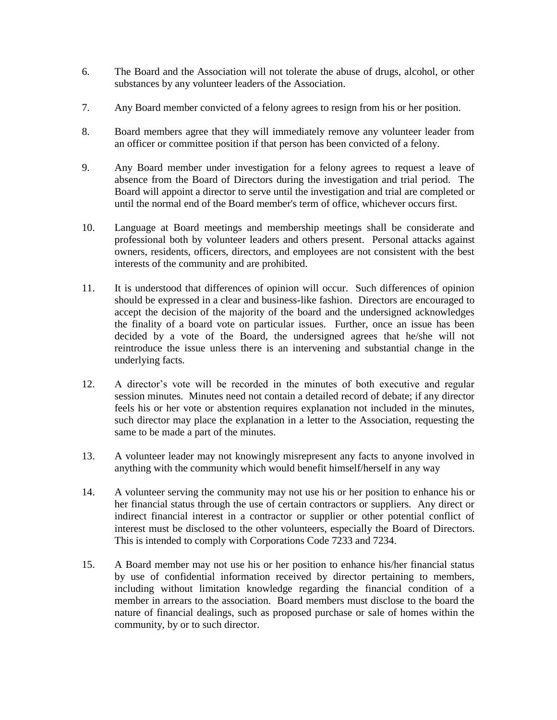- 6. The Board and the Association will not tolerate the abuse of drugs, alcohol, or other substances by any volunteer leaders of the Association.
- 7. Any Board member convicted of a felony agrees to resign from his or her position.
- 8. Board members agree that they will immediately remove any volunteer leader from an officer or committee position if that person has been convicted of a felony.
- 9. Any Board member under investigation for a felony agrees to request a leave of absence from the Board of Directors during the investigation and trial period. The Board will appoint a director to serve until the investigation and trial are completed or until the normal end of the Board member's term of office, whichever occurs first.
- 10. Language at Board meetings and membership meetings shall be considerate and professional both by volunteer leaders and others present. Personal attacks against owners, residents, officers, directors, and employees are not consistent with the best interests of the community and are prohibited.
- 11. It is understood that differences of opinion will occur. Such differences of opinion should be expressed in a clear and business-like fashion. Directors are encouraged to accept the decision of the majority of the board and the undersigned acknowledges the finality of a board vote on particular issues. Further, once an issue has been decided by a vote of the Board, the undersigned agrees that he/she will not reintroduce the issue unless there is an intervening and substantial change in the underlying facts.
- 12. A director's vote will be recorded in the minutes of both executive and regular session minutes. Minutes need not contain a detailed record of debate; if any director feels his or her vote or abstention requires explanation not included in the minutes, such director may place the explanation in a letter to the Association, requesting the same to be made a part of the minutes.
- 13. A volunteer leader may not knowingly misrepresent any facts to anyone involved in anything with the community which would benefit himself/herself in any way
- 14. A volunteer serving the community may not use his or her position to enhance his or her financial status through the use of certain contractors or suppliers. Any direct or indirect financial interest in a contractor or supplier or other potential conflict of interest must be disclosed to the other volunteers, especially the Board of Directors. This is intended to comply with Corporations Code 7233 and 7234.
- 15. A Board member may not use his or her position to enhance his/her financial status by use of confidential information received by director pertaining to members, including without limitation knowledge regarding the financial condition of a member in arrears to the association. Board members must disclose to the board the nature of financial dealings, such as proposed purchase or sale of homes within the community, by or to such director.